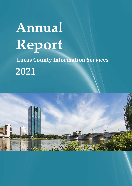# **Annual Report Lucas County Information Services 2021**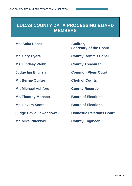# **LUCAS COUNTY DATA PROCESSING BOARD MEMBERS**

**Ms. Anita Lopez Auditor,** 

**Ms. Lindsay Webb County Treasurer**

**Mr. Bernie Quilter Clerk of Courts**

**Mr. Michael Ashford County Recorder**

**Mr. Timothy Monaco Board of Elections** 

**Judge David Lewandowski Domestic Relations Court**

**Mr. Mike Pniewski County Engineer**

**Secretary of the Board**

**Mr. Gary Byers County Commissioner**

**Judge Ian English Common Pleas Court**

**Ms. Lavera Scott Board of Elections**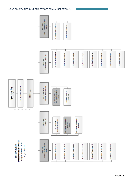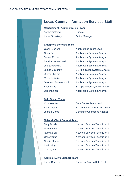### **Lucas County Information Services Staff**

#### **Management / Administrative Team**

| Alex Armstrong         |  |
|------------------------|--|
| <b>Karen Schnitkey</b> |  |

**Director Office Manager** 

#### **Enterprise Software Team**

| Gianni Carrero        | <b>Applications Team Lead</b>          |
|-----------------------|----------------------------------------|
| Chen Cao              | <b>Application Systems Analyst</b>     |
| <b>Shawn Russell</b>  | <b>Application Systems Analyst</b>     |
| Sandra Lewandowski    | <b>Application Systems Analyst</b>     |
| Joe Szyskowski        | <b>Application Systems Analyst</b>     |
| <b>James Volschow</b> | <b>Sr. Application Systems Analyst</b> |
| Udaya Sharma          | <b>Application Systems Analyst</b>     |
| <b>Michelle Weiss</b> | <b>Application Systems Analyst</b>     |
| Jeremiah Bauerschmidt | <b>Application Systems Analyst</b>     |
| <b>Scott Geffe</b>    | <b>Sr. Application Systems Analyst</b> |
| <b>Luis Martinez</b>  | <b>Application Systems Analyst</b>     |

#### **Data Center Team**

Kory Koepfer **Data Center Team Lead** Alan Mason Sr. Computer Operations Analyst Joshua Marks Computer Operations Analyst

#### **Network/Client Support Team**

Tony Bundy Network Services Technician II Walter Reed Network Services Technician II Ruby Nolen Network Services Technician II Chris Veitch Network Services Technician II Cherie Muetze Network Services Technician II Kevin King Network Services Technician II Chrissy Hart Network Services Technician I

#### **Administrative Support Team**

Karen Ramsey Business Analyst/Help Desk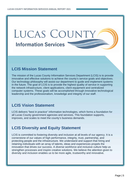# LUCAS COUNTY **Information Services**

# **LCIS Mission Statement**

The mission of the Lucas County Information Services Department (LCIS) is to provide innovative and effective solutions to achieve the county's service goals and objectives. Our technology philosophy will assist our department to guide and implement systems in the future. The goal of LCIS is to provide the highest quality of service in supporting the network infrastructure, client applications, client equipment and centralized computer systems. These goals will be accomplished through innovative technological leadership and the professionalism, knowledge and integrity of our staff.

# **LCIS Vision Statement**

LCIS delivers "best in practice" information technologies, which forms a foundation for all Lucas County government agencies and services. This foundation supports, improves, and scales to meet the county's business demands.

# **LCIS Diversity and Equity Statement**

LCIS is committed to fostering diversity and inclusion at all levels of our agency. It is a cornerstone of our values of high performance, integrity, trust, partnership, and protecting people and the infrastructure. We understand and support that hiring and retaining individuals with an array of talents, ideas and experiences propels the innovation that drives our success. A diverse workforce and inclusive culture help us strengthen processes and inspire creative solutions. We believe the attention given to diversity and inclusion enables us to be more agile, trustworthy and innovative.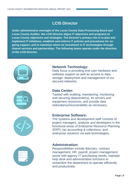# **LCIS Director**

**Under administrative oversight of the Lucas County Data Processing Board and Lucas County Auditor, the LCIS Director aligns IT objectives and programs to Lucas County objectives and strategies. The Director's primary role is to plan and implement IT initiatives, establish and enforce IT policies and procedures for ongoing support, and to maximize return on investment in IT technologies through shared services and partnerships. The following teams operate under the direction of the LCIS Director:**









#### **Network Technology:**

Daily focus is providing end user hardware and software support as well as access to data storage, deployment and management of our secured networks.

#### **Data Center:**

Tasked with building, maintaining, monitoring and securing datacenter(s), its servers and equipment resources, and provide data redundancy/recoverability as necessary.

#### **Enterprise Software:**

The systems and development staff consists of project managers, analysts and developers in the functional areas of Enterprise Resource Planning (ERP), tax accounting & collections, and enterprise solutions via web technologies.

#### **Administration:**

Responsibilities include fiduciary, contract management, HR, payroll, project management, assist with agency IT purchasing needs, maintain help desk and administrative functions to streamline the department to operate efficiently and productively.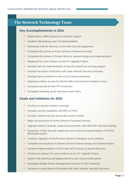# **The Network Technology Team**

#### **Key Accomplishments in 2021**

- $\checkmark$  Responded to 3683 requests for technical support
- $\checkmark$  Installed 196 desktops and 242 laptops/tablets
- $\checkmark$  Maintained Internet Security via the Web Security Appliances
- $\checkmark$  Completed first phase of Active Directory Password security
- $\checkmark$  Completed first phase of Shared Services network design and implementation
- $\checkmark$  Replaced PCs and monitors via the PC Upgrade Project
- $\checkmark$  Assisted with the implementation of security awareness training program
- $\checkmark$  Assisted the Board of Elections with State Network Security Directives
- $\checkmark$  Deployed guest wireless for non-Lucas County employees
- $\checkmark$  Deployed wireless access for Sheriff staff in the Domestic Relations Court
- $\checkmark$  Increased security for the FTP connection
- $\checkmark$  Completed standing up the new data center fabric

- $\checkmark$  Continue to expand wireless coverage
- $\checkmark$  Increase security standards with MFA on VPN
- $\checkmark$  Increase network security across the county network
- $\checkmark$  Begin second phase of Active Directory Password security
- Upgrade network cameras, expand access points, plan MDF/IDF wall jack labeling
- $\checkmark$  Expansion of Web Security Appliances and continued implementation of HTTPS filtering/decryption
- $\checkmark$  Continue migration of Novell server shares to Windows server platform
- $\checkmark$  Complete second phase of Shared Services network design and implementation
- $\checkmark$  Continue implementation of JFS Public Wi-Fi access at Shared Services
- $\checkmark$  Continue to replace PCs and monitors via the PC Upgrade Project
- $\checkmark$  Assist in the planning and deployment of a new county email system
- $\checkmark$  Investigate Mobile Device Management solutions for the Enterprise
- $\checkmark$  Continue to assist Board of Elections with State Network Security Directives.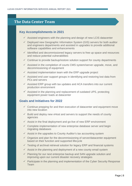## **The Data Center Team**

#### **Key Accomplishments in 2021**

- $\checkmark$  Assisted engineers with the planning and design of new LCIS datacenter
- $\checkmark$  Deployed new Geographic Information System (GIS) servers for both auditor and engineers departments and assisted in upgrades to provide additional software capabilities and enhancements
- $\checkmark$  Identified and decommissioned legacy servers to free up space and resources and reduce potential vulnerabilities
- $\checkmark$  Continue to provide backup/restore solution support for county departments
- $\checkmark$  Assisted in the completion of courts CMS system/server upgrade, move, and decommissioning of equipment
- $\checkmark$  Assisted implementation team with the ERP upgrade project
- $\checkmark$  Assisted end user support groups in identifying and restoring lost data from PCs and servers
- $\checkmark$  Assisted ERP group with tax updates and ACA transfers into our current production environment
- $\checkmark$  Assisted in the planning and replacement of outdated UPS, protecting equipment power loads at datacenter

- $\checkmark$  Continue prepping for and then execution of datacenter and equipment move into new location
- $\checkmark$  Build and deploy new vHost and servers to support the needs of county agencies
- $\checkmark$  Assist in the final deployment and go-live of new ERP environment
- $\checkmark$  Complete implementation of new enterprise database server and begin migrating databases
- $\checkmark$  Assist in the upgrades to County Auditor's tax accounting system
- $\checkmark$  Organize and plan for the decommissioning of server/datacenter equipment based on their function and supported lifecycle
- $\checkmark$  Testing of archival retrieval solution for legacy ERP and financial systems
- $\checkmark$  Assist in the planning and deployment of a new county email system
- $\checkmark$  Planning for our next enterprise backup and SAN upgrade solution and improving upon our current disaster recovery strategies
- $\checkmark$  Participate in the planning and implementation of the Cyber Security Response Team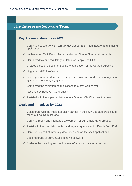### **The Enterprise Software Team**

#### **Key Accomplishments in 2021**

- $\checkmark$  Continued support of 68 internally developed, ERP, Real Estate, and Imaging applications
- $\checkmark$  Implemented Multi Factor Authentication on Oracle Cloud environments
- $\checkmark$  Completed tax and regulatory updates for PeopleSoft HCM
- $\checkmark$  Created electronic document delivery application for the Court of Appeals
- $\checkmark$  Upgraded AREIS software
- $\checkmark$  Developed new interface between updated Juvenile Court case management system and our imaging system
- $\checkmark$  Completed the migration of applications to a new web server
- $\checkmark$  Received OnBase API Certification
- $\checkmark$  Assisted with the implementation of our Oracle HCM Cloud environment

- $\checkmark$  Collaborate with the implementation partner in the HCM upgrade project and reach our go-live milestone
- $\checkmark$  Continue report and interface development for our Oracle HCM product
- $\checkmark$  Assist with the completion of tax and regulatory updates for PeopleSoft HCM
- $\checkmark$  Continue support of internally developed and off the shelf applications
- $\checkmark$  Begin upgrade of our OnBase imaging software
- $\checkmark$  Assist in the planning and deployment of a new county email system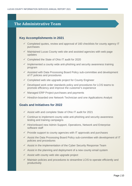# **The Administrative Team**

#### **Key Accomplishments in 2021**

- $\checkmark$  Completed quotes, review and approval of 160 checklists for county agency IT purchases
- $\checkmark$  Maintained Lucas County web site and assisted agencies with web page updates
- $\checkmark$  Completed the State of Ohio IT audit for 2020
- $\checkmark$  Implemented a county wide anti-phishing and security awareness training program
- $\checkmark$  Assisted with Data Processing Board Policy sub-committee and development of IT policies and procedures
- $\checkmark$  Completed web site upgrade project for County Engineer
- $\checkmark$  Developed work order standards policy and procedures for LCIS teams to promote efficiency and improve the customer's experience
- $\checkmark$  Managed ERP Project purchases and payments
- $\checkmark$  Hired/on-boarded one Network Technician and one Applications Analyst

- $\checkmark$  Assist with and complete State of Ohio IT audit for 2021
- $\checkmark$  Continue to implement county wide anti-phishing and security awareness testing and training campaigns
- $\checkmark$  Hire/onboard new Admin Support, Operations, Network and Enterprise software staff
- $\checkmark$  Provide support to county agencies with IT approvals and purchases
- $\checkmark$  Assist the Data Processing Board Policy sub-committee with development of IT policies and procedures
- $\checkmark$  Assist in the implementation of the Cyber Security Response Team
- $\checkmark$  Assist in the planning and deployment of a new county email system
- $\checkmark$  Assist with county web site upgrade project
- $\checkmark$  Maintain policies and procedures to streamline LCIS to operate efficiently and productively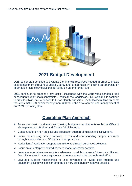

# **2021 Budget Development**

LCIS senior staff continue to evaluate the financial resources needed in order to enable cost containment throughout Lucas County and its agencies by placing an emphasis on information technology solutions delivered on an enterprise level.

2021 continued to present a new set of challenges with the world wide pandemic and subsequent supply chain constraints. Despite these roadblocks, LCIS was able to continue to provide a high level of service to Lucas County agencies. The following outline presents the steps that LCIS senior management utilized in the development and management of our 2021 operating plan.

# **Operating Plan Approach**

- $\triangleright$  Focus is on cost containment and meeting budgetary requirements set by the Office of Management and Budget and County Administration.
- $\triangleright$  Concentration on key projects and production support of mission critical systems.
- Focus on reducing server hardware needs and corresponding support contracts through virtualization and 3<sup>rd</sup> party support providers.
- $\triangleright$  Reduction of application support commitments through purchased solutions.
- $\triangleright$  Focus on an enterprise shared services model wherever possible.
- $\triangleright$  Leverage enterprise-class solutions whenever possible to ensure future scalability and flexibility to allow for more agile environments and reduction of duplicated effort.
- $\triangleright$  Leverage supplier relationships to take advantage of lowest cost support and equipment pricing while minimizing the delivery constraints whenever possible.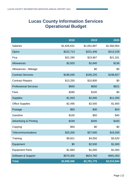# **Lucas County Information Services Operational Budget**

|                                   | 2018        | 2019        | 2020        |
|-----------------------------------|-------------|-------------|-------------|
| <b>Salaries</b>                   | \$1,626,631 | \$1,652,897 | \$1,560,954 |
| <b>Opers</b>                      | \$222,713   | \$231,406   | \$213,228   |
| Fica                              | \$22,280    | \$23,967    | \$21,331    |
| <b>Allowances</b>                 | \$2,820     | \$2,640     | \$136       |
| Allowances - Mileage              |             | \$0         | \$0         |
| <b>Contract Services</b>          | \$196,045   | \$195,225   | \$198,827   |
| <b>Contract Repairs</b>           | \$13,250    | \$10,800    | \$0         |
| <b>Professional Services</b>      | \$650       | \$650       | \$621       |
| Fees                              | \$280       | \$100       | \$0         |
| <b>Supplies</b>                   | \$1,943     | \$2,000     | \$11,250    |
| <b>Office Supplies</b>            | \$2,495     | \$2,000     | \$1,600     |
| Postage                           | \$50        | \$30        | \$24        |
| Gasoline                          | \$100       | \$50        | \$40        |
| <b>Advertising &amp; Printing</b> | \$249       | \$200       | \$160       |
| Copying                           | \$50        | \$0         | \$0         |
| Telecommunications                | \$25,200    | \$27,000    | \$19,200    |
| Training                          | \$9,821     | \$4,550     | \$3,520     |
| Equipment                         | \$0         | \$2,500     | \$1,000     |
| <b>Equipment Parts</b>            | \$1,684     | \$1,000     | \$1,000     |
| Software & Support                | \$570,305   | \$624,760   | \$481,053   |
| <b>Total</b>                      | \$2,696,566 | \$2,781,775 | \$2,513,944 |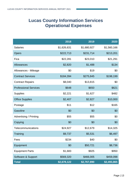# **Lucas County Information Services Operational Expenses**

|                               | 2018        | 2019        | 2020        |
|-------------------------------|-------------|-------------|-------------|
| <b>Salaries</b>               | \$1,626,631 | \$1,680,927 | \$1,560,166 |
| <b>Opers</b>                  | \$222,713   | \$231,714   | \$213,201   |
| Fica                          | \$22,281    | \$23,010    | \$21,291    |
| Allowances                    | \$2,820     | \$1,488     | \$134       |
| Allowances - Mileage          | \$0         | \$19        | \$0         |
| <b>Contract Services</b>      | \$184,394   | \$275,845   | \$198,199   |
| <b>Contract Repairs</b>       | \$8,040     | \$13,815    | \$0         |
| <b>Professional Services</b>  | \$648       | \$650       | \$621       |
| <b>Supplies</b>               | \$2,221     | \$1,627     | \$482       |
| <b>Office Supplies</b>        | \$2,407     | \$2,827     | \$10,000    |
| Postage                       | \$11        | \$12        | \$165       |
| Gasoline                      | \$0         | \$0         | \$0         |
| <b>Advertising / Printing</b> | \$55        | \$55        | \$0         |
| Copying                       | \$0         | \$0         | \$0         |
| Telecommunications            | \$24,927    | \$12,679    | \$14,325    |
| Training                      | \$9,737     | \$5,531     | \$6,497     |
| Fees                          | \$234       | \$40        | \$0         |
| Equipment                     | \$0         | \$50,721    | \$8,736     |
| <b>Equipment Parts</b>        | \$1,683     | \$925       | \$950       |
| Software & Support            | \$569,320   | \$466,005   | \$459,098   |
| <b>Total</b>                  | \$2,678,122 | \$2,767,890 | \$2,493,865 |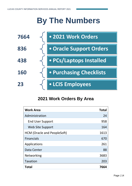# **By The Numbers**



# **2021 Work Orders By Area**

| <b>Work Area</b>                   | <b>Total</b> |
|------------------------------------|--------------|
| Administration                     | 24           |
| <b>End User Support</b>            | 958          |
| Web Site Support                   | 164          |
| <b>HCM (Oracle and PeopleSoft)</b> | 1613         |
| <b>Financials</b>                  | 670          |
| Applications                       | 261          |
| Data Center                        | 88           |
| <b>Networking</b>                  | 3683         |
| <b>Taxation</b>                    | 203          |
| <b>Total</b>                       | 7664         |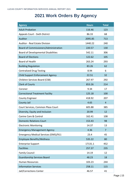# **2021 Work Orders By Agency**

| <b>Agency</b>                               | <b>Hours</b> | <b>Total</b>   |
|---------------------------------------------|--------------|----------------|
| <b>Adult Probation</b>                      | 116.46       | 123            |
| <b>Appeals Court - Sixth District</b>       | 86.33        | 68             |
| Auditor                                     | 2095.85      | 713            |
| <b>Auditor - Real Estate Division</b>       | 1440.22      | 240            |
| Board of Commissioners/Administration       | 220.57       | 130            |
| <b>Board of Developmental Disabilities</b>  | 542.11       | 306            |
| <b>Board of Elections</b>                   | 122.62       | 105            |
| <b>Board of Health</b>                      | 263.24       | 293            |
| <b>Building Regulation</b>                  | 83.26        | 62             |
| <b>Centralized Drug Testing</b>             | 8.94         | 6              |
| <b>Child Support Enforcement Agency</b>     | 22.51        | 32             |
| Children Services Board (CSB)               | 267.97       | 292            |
| <b>Clerk of Courts</b>                      | 853.26       | 214            |
| Coroner                                     | 9.34         | 17             |
| <b>Correctional Treatment Facility</b>      | 125.18       | 100            |
| <b>County Engineer</b>                      | 418.92       | 207            |
| <b>County Jail</b>                          | 4.65         | $\overline{4}$ |
| Court Services, Common Pleas Court          | 605.88       | 385            |
| Diversity, Equity and Inclusion             | 20.99        | 12             |
| Canine Care & Control                       | 162.41       | 108            |
| <b>Domestic Relations Court</b>             | 153.43       | 98             |
| <b>Electronic Monitoring</b>                | 14.37        | 13             |
| <b>Emergency Management Agency</b>          | 4.36         | $\overline{7}$ |
| <b>Emergency Medical Services (EMS)/911</b> | 23.4         | 45             |
| <b>Employee Benefits/Wellness</b>           | 535.22       | 80             |
| <b>Enterprise Support</b>                   | 17131.1      | 452            |
| <b>Facilities</b>                           | 257.37       | 235            |
| <b>Family Council</b>                       | 14.19        | 12             |
| <b>Guardianship Services Board</b>          | 48.23        | 18             |
| <b>Human Resources</b>                      | 103.23       | 244            |
| <b>Information Services</b>                 | 258.11       | 115            |
| Jail/Corrections Center                     | 46.57        | 41             |